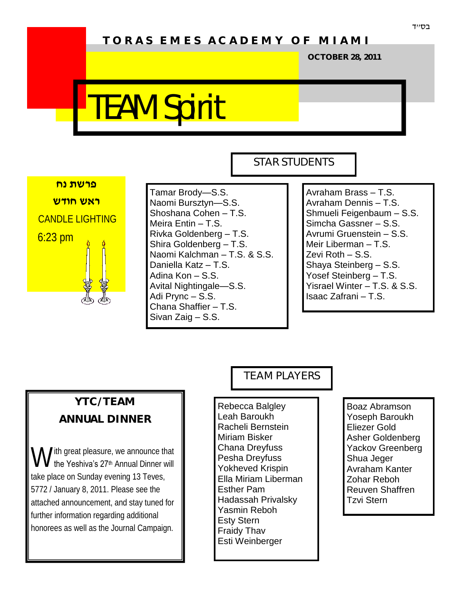# **T O R A S E M E S A C A D E M Y O F M I A M I**

**OCTOBER 28, 2011**

# TEAM Spirit



Tamar Brody—S.S. Naomi Bursztyn—S.S. Shoshana Cohen – T.S. Meira Entin – T.S. Rivka Goldenberg – T.S. Shira Goldenberg – T.S. Naomi Kalchman – T.S. & S.S. Daniella Katz – T.S. Adina Kon – S.S. Avital Nightingale—S.S. Adi Prync – S.S. Chana Shaffier – T.S. Sivan Zaig – S.S.

#### STAR STUDENTS

Avraham Brass – T.S. Avraham Dennis – T.S. Shmueli Feigenbaum – S.S. Simcha Gassner – S.S. Avrumi Gruenstein – S.S. Meir Liberman – T.S. Zevi Roth – S.S. Shaya Steinberg – S.S. Yosef Steinberg – T.S. Yisrael Winter – T.S. & S.S. Isaac Zafrani – T.S.

# **YTC/TEAM ANNUAL DINNER**

W ith great pleasure, we announce that<br>
W the Yeshiva's 27<sup>th</sup> Annual Dinner will **V** the Yeshiva's 27<sup>th</sup> Annual Dinner will take place on Sunday evening 13 Teves, 5772 / January 8, 2011. Please see the attached announcement, and stay tuned for further information regarding additional honorees as well as the Journal Campaign.

#### TEAM PLAYERS

Rebecca Balgley Leah Baroukh Racheli Bernstein Miriam Bisker Chana Dreyfuss Pesha Dreyfuss Yokheved Krispin Ella Miriam Liberman Esther Pam Hadassah Privalsky Yasmin Reboh Esty Stern Fraidy Thav Esti Weinberger

Boaz Abramson Yoseph Baroukh Eliezer Gold Asher Goldenberg Yackov Greenberg Shua Jeger Avraham Kanter Zohar Reboh Reuven Shaffren Tzvi Stern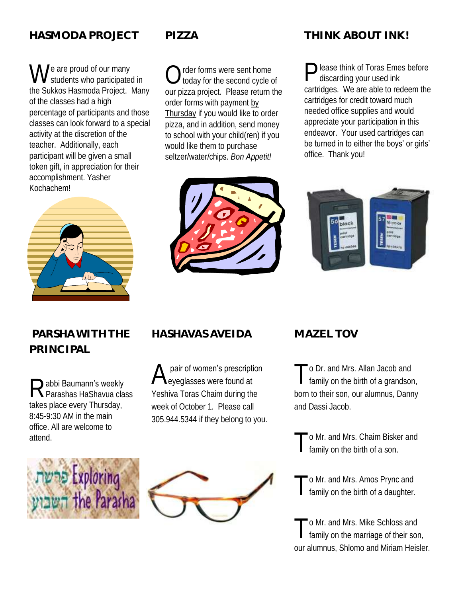## **HASMODA PROJECT**

We are proud of our many<br>students who participated students who participated in the Sukkos Hasmoda Project. Many of the classes had a high percentage of participants and those classes can look forward to a special activity at the discretion of the teacher. Additionally, each participant will be given a small token gift, in appreciation for their accomplishment. Yasher Kochachem!



#### **PIZZA**

 $\bigcirc$ rder forms were sent home today for the second cycle of our pizza project. Please return the order forms with payment by Thursday if you would like to order pizza, and in addition, send money to school with your child(ren) if you would like them to purchase seltzer/water/chips. *Bon Appetit!*



# **THINK ABOUT INK!**

Please think of Toras Emes before<br>discarding your used ink discarding your used ink cartridges. We are able to redeem the cartridges for credit toward much needed office supplies and would appreciate your participation in this endeavor. Your used cartridges can be turned in to either the boys' or girls' office. Thank you!



# **PARSHA WITH THE PRINCIPAL**

Rabbi Baumann's weekly<br>Rearashas HaShavua class abbi Baumann's weekly takes place every Thursday, 8:45-9:30 AM in the main office. All are welcome to attend.



# **HASHAVAS AVEIDA**

A pair of women's prescription eyeglasses were found at Yeshiva Toras Chaim during the week of October 1. Please call 305.944.5344 if they belong to you.



# **MAZEL TOV**

T o Dr. and Mrs. Allan Jacob and family on the birth of a grandson, born to their son, our alumnus, Danny and Dassi Jacob.

T o Mr. and Mrs. Chaim Bisker and family on the birth of a son.

T o Mr. and Mrs. Amos Prync and family on the birth of a daughter.

T o Mr. and Mrs. Mike Schloss and family on the marriage of their son, our alumnus, Shlomo and Miriam Heisler.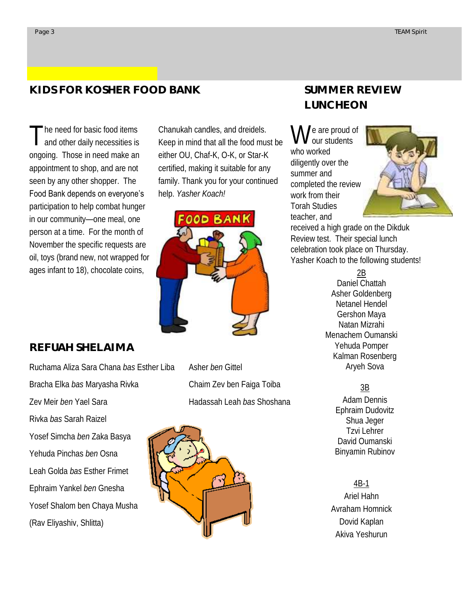## **KIDS FOR KOSHER FOOD BANK**

T he need for basic food items and other daily necessities is ongoing. Those in need make an appointment to shop, and are not seen by any other shopper. The Food Bank depends on everyone's participation to help combat hunger in our community—one meal, one person at a time. For the month of November the specific requests are oil, toys (brand new, not wrapped for ages infant to 18), chocolate coins,

Chanukah candles, and dreidels. Keep in mind that all the food must be either OU, Chaf-K, O-K, or Star-K certified, making it suitable for any family. Thank you for your continued help. *Yasher Koach!*



#### **REFUAH SHELAIMA**

Ruchama Aliza Sara Chana *bas* Esther Liba Bracha Elka *bas* Maryasha Rivka Zev Meir *ben* Yael Sara Rivka *bas* Sarah Raizel Yosef Simcha *ben* Zaka Basya Yehuda Pinchas *ben* Osna Leah Golda *bas* Esther Frimet Ephraim Yankel *ben* Gnesha Yosef Shalom ben Chaya Musha (Rav Eliyashiv, Shlitta)

Asher *ben* Gittel Chaim Zev ben Faiga Toiba Hadassah Leah *bas* Shoshana



# **SUMMER REVIEW LUNCHEON**

We are proud of<br>we students our students who worked diligently over the summer and completed the review work from their Torah Studies teacher, and



received a high grade on the Dikduk Review test. Their special lunch celebration took place on Thursday. Yasher Koach to the following students!

> 2B Daniel Chattah Asher Goldenberg Netanel Hendel Gershon Maya Natan Mizrahi Menachem Oumanski Yehuda Pomper Kalman Rosenberg Aryeh Sova

#### 3B

Adam Dennis Ephraim Dudovitz Shua Jeger Tzvi Lehrer David Oumanski Binyamin Rubinov

#### 4B-1

Ariel Hahn Avraham Homnick Dovid Kaplan Akiva Yeshurun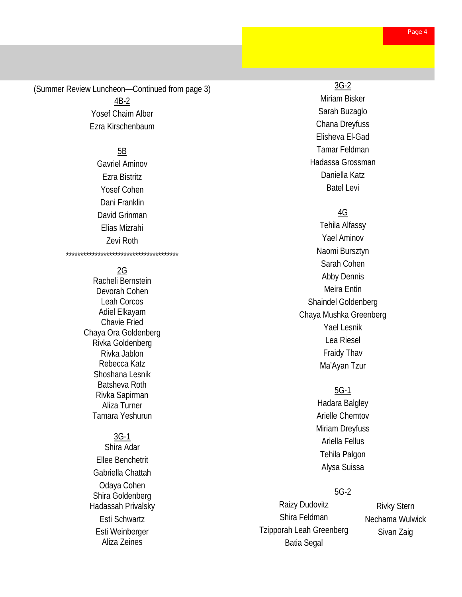(Summer Review Luncheon—Continued from page 3) 4B-2 Yosef Chaim Alber Ezra Kirschenbaum

#### 5B

Gavriel Aminov Ezra Bistritz Yosef Cohen Dani Franklin David Grinman Elias Mizrahi Zevi Roth

#### 2G

\*\*\*\*\*\*\*\*\*\*\*\*\*\*\*\*\*\*\*\*\*\*\*\*\*\*\*\*\*\*\*\*\*\*\*\*\*\*\*

Racheli Bernstein Devorah Cohen Leah Corcos Adiel Elkayam Chavie Fried Chaya Ora Goldenberg Rivka Goldenberg Rivka Jablon Rebecca Katz Shoshana Lesnik Batsheva Roth Rivka Sapirman Aliza Turner Tamara Yeshurun

#### 3G-1

Shira Adar Ellee Benchetrit Gabriella Chattah Odaya Cohen Shira Goldenberg Hadassah Privalsky Esti Schwartz Esti Weinberger Aliza Zeines

#### 3G-2

Miriam Bisker Sarah Buzaglo Chana Dreyfuss Elisheva El-Gad Tamar Feldman Hadassa Grossman Daniella Katz Batel Levi

#### 4G

Tehila Alfassy Yael Aminov Naomi Bursztyn Sarah Cohen Abby Dennis Meira Entin Shaindel Goldenberg Chaya Mushka Greenberg Yael Lesnik Lea Riesel Fraidy Thav Ma'Ayan Tzur

#### 5G-1

Hadara Balgley Arielle Chemtov Miriam Dreyfuss Ariella Fellus Tehila Palgon Alysa Suissa

#### 5G-2

Raizy Dudovitz Shira Feldman Tzipporah Leah Greenberg Batia Segal

Rivky Stern Nechama Wulwick Sivan Zaig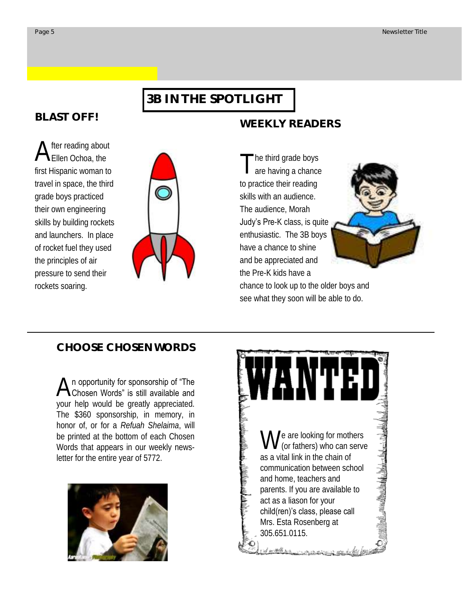#### **3B IN THE SPOTLIGHT**

#### **BLAST OFF!**

A fter reading about Ellen Ochoa, the first Hispanic woman to travel in space, the third grade boys practiced their own engineering skills by building rockets and launchers. In place of rocket fuel they used the principles of air pressure to send their rockets soaring.



T he third grade boys are having a chance to practice their reading skills with an audience. The audience, Morah Judy's Pre-K class, is quite enthusiastic. The 3B boys have a chance to shine and be appreciated and the Pre-K kids have a

**WEEKLY READERS**



chance to look up to the older boys and see what they soon will be able to do.

#### **CHOOSE CHOSEN WORDS**

A n opportunity for sponsorship of "The<br>Chosen Words" is still available and n opportunity for sponsorship of "The your help would be greatly appreciated. The \$360 sponsorship, in memory, in honor of, or for a *Refuah Shelaima*, will be printed at the bottom of each Chosen Words that appears in our weekly newsletter for the entire year of 5772.



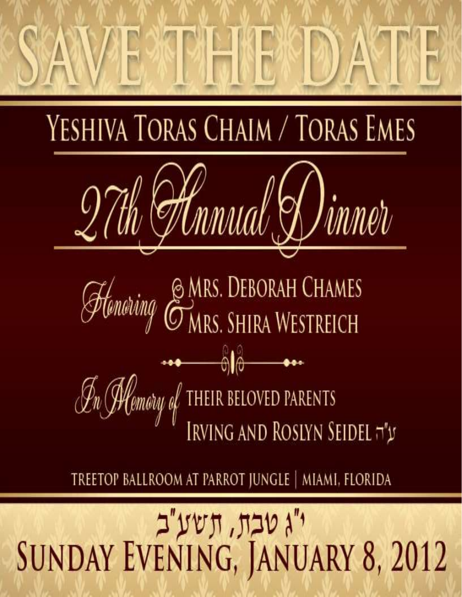

YESHIVA TORAS CHAIM / TORAS EMES



Handring EMRS. DEBORAH CHAMES  $\mathscr{F}_{n}$  (Memory of THEIR BELOVED PARENTS<br>IRVING AND ROSLYN SEIDEL  $\neg^{*}y$ 

TREETOP BALLROOM AT PARROT JUNGLE | MIAMI, FLORIDA

# י"ג טבח, חשע"ב<br>SUNDAY EVENING, JANUARY 8, 2012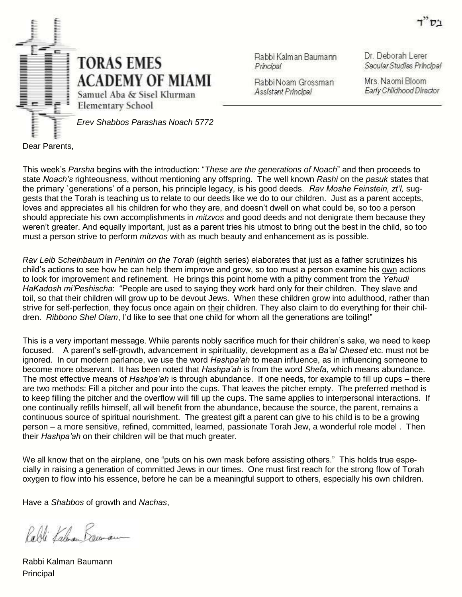

Rabbi Kalman Baumann Principal

Dr. Deborah Lerer Secular Studies Principal

Rabbi Noam Grossman Assistant Principal

Mrs. Naomi Bloom Early Childhood Director

Dear Parents,

This week's *Parsha* begins with the introduction: "*These are the generations of Noach*" and then proceeds to state *Noach's* righteousness, without mentioning any offspring. The well known *Rashi* on the *pasuk* states that the primary `generations' of a person, his principle legacy, is his good deeds. *Rav Moshe Feinstein, zt'l,* suggests that the Torah is teaching us to relate to our deeds like we do to our children. Just as a parent accepts, loves and appreciates all his children for who they are, and doesn't dwell on what could be, so too a person should appreciate his own accomplishments in *mitzvos* and good deeds and not denigrate them because they weren't greater. And equally important, just as a parent tries his utmost to bring out the best in the child, so too must a person strive to perform *mitzvos* with as much beauty and enhancement as is possible.

*Rav Leib Scheinbaum* in *Peninim on the Torah* (eighth series) elaborates that just as a father scrutinizes his child's actions to see how he can help them improve and grow, so too must a person examine his own actions to look for improvement and refinement. He brings this point home with a pithy comment from the *Yehudi HaKadosh mi'Peshischa*: "People are used to saying they work hard only for their children. They slave and toil, so that their children will grow up to be devout Jews. When these children grow into adulthood, rather than strive for self-perfection, they focus once again on their children. They also claim to do everything for their children. *Ribbono Shel Olam*, I'd like to see that one child for whom all the generations are toiling!"

This is a very important message. While parents nobly sacrifice much for their children's sake, we need to keep focused. A parent's self-growth, advancement in spirituality, development as a *Ba'al Chesed* etc. must not be ignored. In our modern parlance, we use the word *Hashpa'ah* to mean influence, as in influencing someone to become more observant. It has been noted that *Hashpa'ah* is from the word *Shefa*, which means abundance. The most effective means of *Hashpa'ah* is through abundance. If one needs, for example to fill up cups – there are two methods: Fill a pitcher and pour into the cups. That leaves the pitcher empty. The preferred method is to keep filling the pitcher and the overflow will fill up the cups. The same applies to interpersonal interactions. If one continually refills himself, all will benefit from the abundance, because the source, the parent, remains a continuous source of spiritual nourishment. The greatest gift a parent can give to his child is to be a growing person – a more sensitive, refined, committed, learned, passionate Torah Jew, a wonderful role model . Then their *Hashpa'ah* on their children will be that much greater.

We all know that on the airplane, one "puts on his own mask before assisting others." This holds true especially in raising a generation of committed Jews in our times. One must first reach for the strong flow of Torah oxygen to flow into his essence, before he can be a meaningful support to others, especially his own children.

Have a *Shabbos* of growth and *Nachas*,

Palli Kalman Kauman

Rabbi Kalman Baumann **Principal**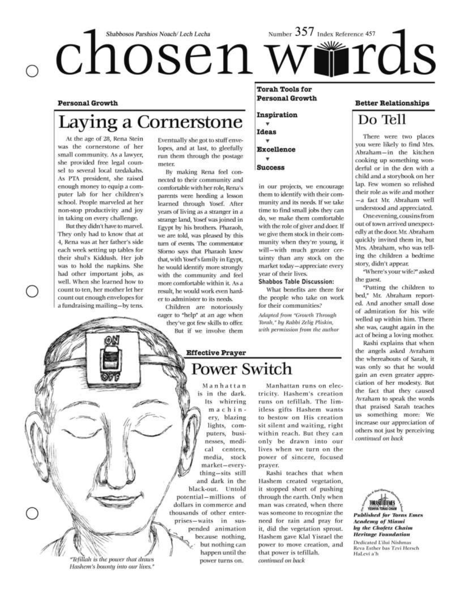# Number 357 Index Reference 457 Shabbosos Parshios Noach/Lech Lecha int d<sub>S</sub> chosen w

#### **Personal Growth**

# Laying a Cornerstone

At the age of 28, Rena Stein was the cornerstone of her small community. As a lawyer, she provided free legal counsel to several local tzedakahs. As PTA president, she raised enough money to equip a computer lab for her children's school. People marveled at her non-stop productivity and joy in taking on every challenge.

But they didn't have to marvel. They only had to know that at 4. Rena was at her father's side each week setting up tables for their shul's Kiddush. Her job was to hold the napkins. She had other important jobs, as well. When she learned how to count to ten, her mother let her count out enough envelopes for a fundraising mailing-by tens.

Eventually she got to stuff envelopes, and at last, to gleefully run them through the postage meter.

By making Rena feel connected to their community and comfortable with her role, Rena's parents were heeding a lesson learned through Yosef. After years of living as a stranger in a strange land, Yosef was joined in Egypt by his brothers. Pharaoh, we are told, was pleased by this turn of events. The commentator Sforno says that Pharaoh knew that, with Yosef's family in Egypt. he would identify more strongly with the community and feel more comfortable within it. As a result, he would work even harder to administer to its needs.

Children are notoriously eager to "help" at an age when they've got few skills to offer. But if we involve them

**Torah Tools for Personal Growth** 

Inspiration v

**Ideas**  $\ddot{}$ **Excellence** 

**Success** 

in our projects, we encourage them to identify with their community and its needs. If we take time to find small jobs they can do, we make them comfortable with the role of giver and doer. If we give them stock in their community when they're young, it will-with much greater certainty than any stock on the market today-appreciate every vear of their lives.

#### **Shabbos Table Discussion:**

What benefits are there for the people who take on work for their communities?

Adapted from "Growth Through Torah," by Rabbi Zelig Pliskin, with permission from the author

# **Effective Prayer Power Switch**

Manhattan is in the dark. Its whirring machinery, blazing lights, computers, businesses, medical centers, media, stock market-everything-sits still and dark in the black-out. Untold potential-millions of dollars in commerce and thousands of other enterprises-waits in suspended animation because nothing, **RANT** but nothing can happen until the power turns on.

Manhattan runs on electricity. Hashem's creation runs on tefillah. The limitless gifts Hashem wants to bestow on His creation sit silent and waiting, right within reach. But they can only be drawn into our lives when we turn on the power of sincere, focused praver.

Rashi teaches that when Hashem created vegetation, it stopped short of pushing through the earth. Only when man was created, when there was someone to recognize the need for rain and pray for it, did the vegetation sprout. Hashem gave Klal Yisrael the power to move creation, and that power is tefillah. continued on back

#### **Better Relationships**

# Do Tell

There were two places you were likely to find Mrs. Abraham-in the kitchen cooking up something wonderful or in the den with a child and a storybook on her lap. Few women so relished their role as wife and mother -a fact Mr. Abraham well understood and appreciated.

One evening, cousins from out of town arrived unexpectedly at the door. Mr. Abraham quickly invited them in, but Mrs. Abraham, who was telling the children a bedtime story, didn't appear.

"Where's your wife?" asked the guest.

"Putting the children to bed," Mr. Abraham reported. And another small dose of admiration for his wife welled up within him. There she was, caught again in the act of being a loving mother.

Rashi explains that when the angels asked Avraham the whereabouts of Sarah, it was only so that he would gain an even greater appreciation of her modesty. But the fact that they caused Avraham to speak the words that praised Sarah teaches us something more: We increase our appreciation of others not just by perceiving continued on back



**Published for Toras Emes Academy of Miami** by the Chofetz Chaim **Heritage Foundation** Dedicated Ulhi Nishmas

Reva Esther bas Tzvi Hersch HaLevi a'h

"Tefillah is the power that draws Hashem's bounty into our lives."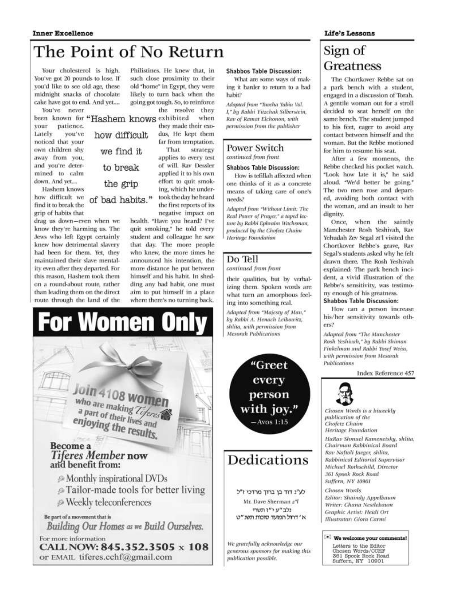# The Point of No Return

Your cholesterol is high. You've got 20 pounds to lose. If you'd like to see old age, these midnight snacks of chocolate cake have got to end. And yet.... You've never

vour patience. Lately vou've noticed that your own children shy away from you, and you're determined to calm down. And yet....

Hashem knows how difficult we find it to break the grip of habits that

drag us down-even when we know they're harming us. The Jews who left Egypt certainly knew how detrimental slavery had been for them. Yet, they maintained their slave mentality even after they departed. For this reason, Hashem took them on a round-about route, rather than leading them on the direct route through the land of the

been known for "Hashem knows exhibited how difficult we find it. to break the grip of bad habits."

Philistines. He knew that, in such close proximity to their old "home" in Egypt, they were likely to turn back when the going got tough. So, to reinforce

the resolve they when they made their exodus, He kept them far from temptation. That strategy applies to every test of will. Rav Dessler applied it to his own effort to quit smoking, which he undertook the day he heard the first reports of its negative impact on

health. "Have you heard? I've quit smoking," he told every student and colleague he saw that day. The more people who knew, the more times he announced his intention, the more distance he put between himself and his habit. In shedding any bad habit, one must aim to put himself in a place where there's no turning back.



#### **Shabbos Table Discussion:**

What are some ways of making it harder to return to a bad habit?

Adapted from "Turcha Yabiu Vol. I," by Rabhi Yitzchak Silberstein, Rav of Ramat Elchonon, with permission from the publisher

#### Power Switch continued from front

#### **Shabbos Table Discussion:**

How is tefillah affected when one thinks of it as a concrete means of taking care of one's needs?

Adapted from "Without Limit: The Real Power of Prayer," a taped lecture by Rabbi Ephraim Wachsman, produced by the Chofetz Chaim Heritage Foundation

#### Do Tell

continued from front

their qualities, but by verbalizing them. Spoken words are what turn an amorphous feeling into something real.

Adapted from "Majesty of Man," by Rabbi A. Henach Leibowitz, shlita, with permission from **Mesorah Publications** 

> "Greet every person with joy."  $-Avos$  1:15

# Dedications

לע"נ דוד בן ברוך מרדכי ז"ל Mr. Dave Sherman z"l נלב "ע י"ז תשרי א' דחול המועד סוכות תשנ"ט

We gratefully acknowledge our generous sponsors for making this publication possible.

#### Life's Lessons

# Sign of Greatness

The Chortkover Rebbe sat on a park bench with a student, engaged in a discussion of Torah. A gentile woman out for a stroll decided to seat herself on the same bench. The student jumped to his feet, eager to avoid any contact between himself and the woman. But the Rebbe motioned for him to resume his seat.

After a few moments, the Rebbe checked his pocket watch. "Look how late it is," he said aloud. "We'd better be going." The two men rose and departed, avoiding both contact with the woman, and an insult to her dignity.

Once, when the saintly Manchester Rosh Yeshivah, Rav Yehudah Zev Segal zt'l visited the Chortkover Rebbe's grave, Rav Segal's students asked why he felt drawn there. The Rosh Yeshivah explained: The park bench incident, a vivid illustration of the Rebbe's sensitivity, was testimony enough of his greatness.

#### **Shabbos Table Discussion:**

How can a person increase his/her sensitivity towards others?

Adapted from "The Manchester Rosh Yeshiyah," by Rabbi Shimon Finkelman and Rabbi Yosef Weiss, with permission from Mesorah Publications

Index Reference 457



Chosen Words is a biweekly publication of the Chofetz Chaim **Heritage Foundation** HaRav Shmuel Kamenetsky, shlita, Chairman Rabbinical Board Rav Naftoli Jaeger, shlita, Rabbinical Editorial Supervisor Michael Rothschild, Director. 361 Spook Rock Road Suffern, NY 10901

**Chosen Words** Editor: Shaindy Appelbaum Writer: Chana Nestlebaum Graphic Artist: Heidi Ort Illustrator: Giora Carmi

\* We welcome your comments! Letters to the Editor

Chosen Words/CCHP<br>361 Spook Rock Road<br>Suffern, NY 10901